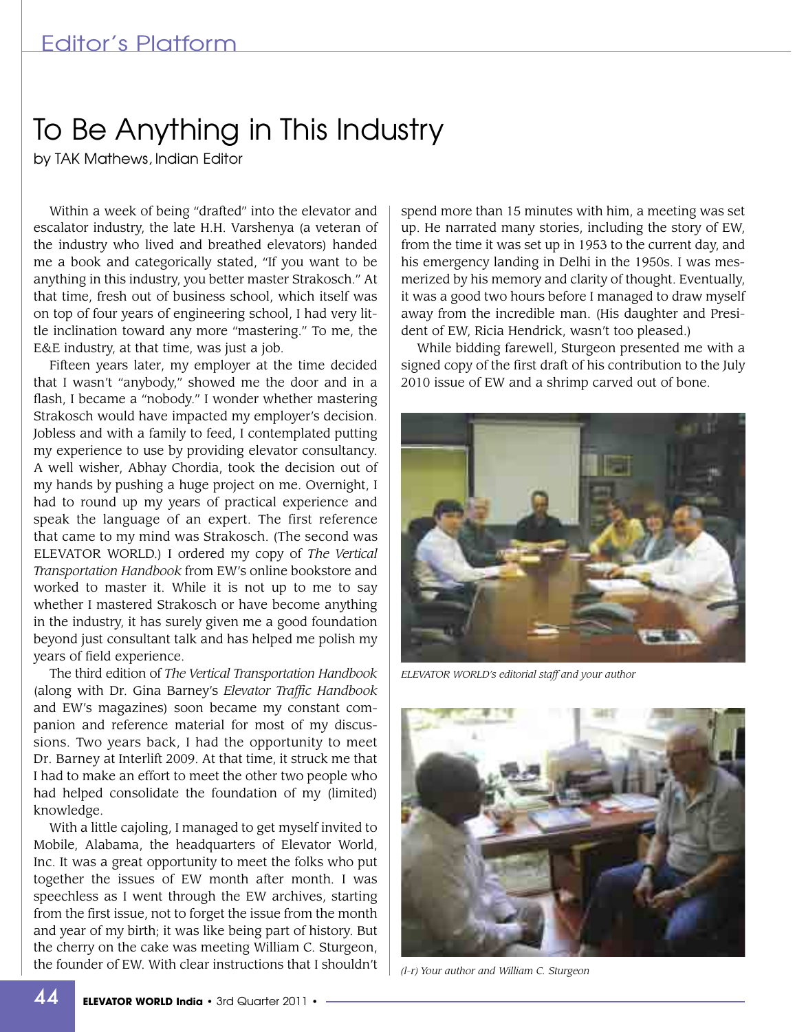## To Be Anything in This Industry

by TAK Mathews, Indian Editor

Within a week of being "drafted" into the elevator and escalator industry, the late H.H. Varshenya (a veteran of the industry who lived and breathed elevators) handed me a book and categorically stated, "If you want to be anything in this industry, you better master Strakosch." At that time, fresh out of business school, which itself was on top of four years of engineering school, I had very little inclination toward any more "mastering." To me, the E&E industry, at that time, was just a job.

Fifteen years later, my employer at the time decided that I wasn't "anybody," showed me the door and in a flash, I became a "nobody." I wonder whether mastering Strakosch would have impacted my employer's decision. Jobless and with a family to feed, I contemplated putting my experience to use by providing elevator consultancy. A well wisher, Abhay Chordia, took the decision out of my hands by pushing a huge project on me. Overnight, I had to round up my years of practical experience and speak the language of an expert. The first reference that came to my mind was Strakosch. (The second was ELEVATOR WORLD.) I ordered my copy of *The Vertical Transportation Handbook* from EW's online bookstore and worked to master it. While it is not up to me to say whether I mastered Strakosch or have become anything in the industry, it has surely given me a good foundation beyond just consultant talk and has helped me polish my years of field experience.

The third edition of *The Vertical Transportation Handbook* (along with Dr. Gina Barney's *Elevator Traffic Handbook* and EW's magazines) soon became my constant companion and reference material for most of my discussions. Two years back, I had the opportunity to meet Dr. Barney at Interlift 2009. At that time, it struck me that I had to make an effort to meet the other two people who had helped consolidate the foundation of my (limited) knowledge.

With a little cajoling, I managed to get myself invited to Mobile, Alabama, the headquarters of Elevator World, Inc. It was a great opportunity to meet the folks who put together the issues of EW month after month. I was speechless as I went through the EW archives, starting from the first issue, not to forget the issue from the month and year of my birth; it was like being part of history. But the cherry on the cake was meeting William C. Sturgeon, the founder of EW. With clear instructions that I shouldn't spend more than 15 minutes with him, a meeting was set up. He narrated many stories, including the story of EW, from the time it was set up in 1953 to the current day, and his emergency landing in Delhi in the 1950s. I was mesmerized by his memory and clarity of thought. Eventually, it was a good two hours before I managed to draw myself away from the incredible man. (His daughter and President of EW, Ricia Hendrick, wasn't too pleased.)

While bidding farewell, Sturgeon presented me with a signed copy of the first draft of his contribution to the July 2010 issue of EW and a shrimp carved out of bone.



*ELEVATOR WORLD's editorial staff and your author*



*(l-r) Your author and William C. Sturgeon*